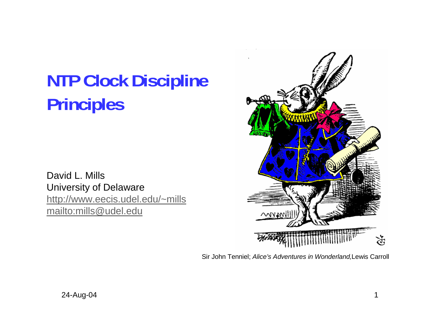# **NTP Clock Discipline Principles**

David L. Mills University of Delaware http://www.eecis.udel.edu/~mills mailto:mills@udel.edu



Sir John Tenniel; *Alice's Adventures in Wonderland,*Lewis Carroll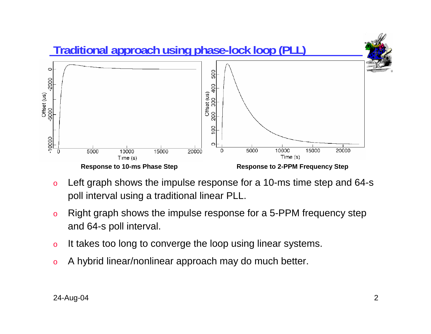

- o Left graph shows the impulse response for a 10-ms time step and 64-s poll interval using a traditional linear PLL.
- o Right graph shows the impulse response for a 5-PPM frequency step and 64-s poll interval.
- oIt takes too long to converge the loop using linear systems.
- oA hybrid linear/nonlinear approach may do much better.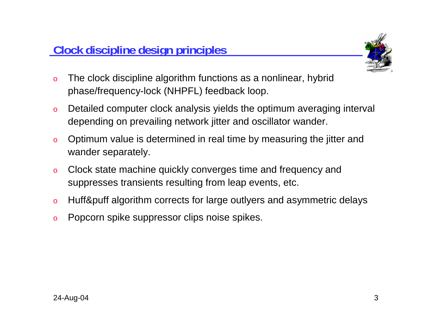

- o The clock discipline algorithm functions as a nonlinear, hybrid phase/frequency-lock (NHPFL) feedback loop.
- o Detailed computer clock analysis yields the optimum averaging interval depending on prevailing network jitter and oscillator wander.
- o Optimum value is determined in real time by measuring the jitter and wander separately.
- o Clock state machine quickly converges time and frequency and suppresses transients resulting from leap events, etc.
- oHuff&puff algorithm corrects for large outlyers and asymmetric delays
- oPopcorn spike suppressor clips noise spikes.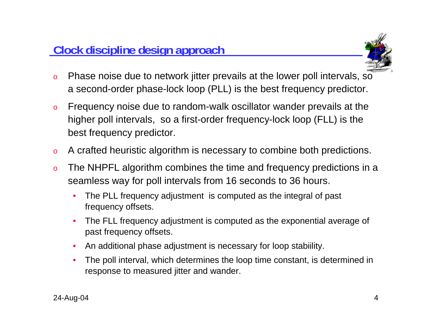

- o Phase noise due to network jitter prevails at the lower poll intervals, so a second-order phase-lock loop (PLL) is the best frequency predictor.
- o Frequency noise due to random-walk oscillator wander prevails at the higher poll intervals, so a first-order frequency-lock loop (FLL) is the best frequency predictor.
- oA crafted heuristic algorithm is necessary to combine both predictions.
- o The NHPFL algorithm combines the time and frequency predictions in a seamless way for poll intervals from 16 seconds to 36 hours.
	- • The PLL frequency adjustment is computed as the integral of past frequency offsets.
	- • The FLL frequency adjustment is computed as the exponential average of past frequency offsets.
	- •An additional phase adjustment is necessary for loop stabiility.
	- • The poll interval, which determines the loop time constant, is determined in response to measured jitter and wander.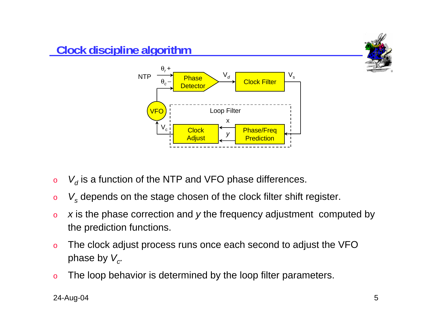

- o $\circ$   $\quad$   $V_d$  is a function of the NTP and VFO phase differences.
- o*Vs* depends on the stage chosen of the clock filter shift register.
- o *<sup>x</sup>* is the phase correction and *y* the frequency adjustment computed by the prediction functions.
- o The clock adjust process runs once each second to adjust the VFO phase by  $V_c$ .
- oThe loop behavior is determined by the loop filter parameters.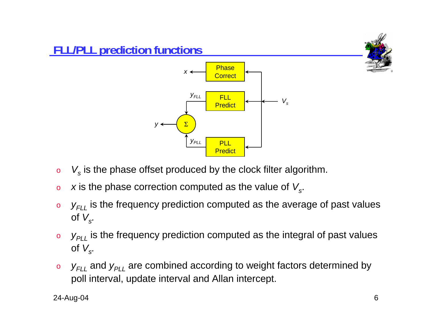



o*Vs* is the phase offset produced by the clock filter algorithm.

*yPLL*

Σ

*y*

- o*x* is the phase correction computed as the value of  $V_s$ .
- o *yFLL* is the frequency prediction computed as the average of past values of  $V_s$ .

 PLL**Predict** 

- o *yPLL* is the frequency prediction computed as the integral of past values of  $V_s$ .
- o $\mathsf{y}_{\mathsf{FLL}}$  and  $\mathsf{y}_{\mathsf{PLL}}$  are combined according to weight factors determined by poll interval, update interval and Allan intercept.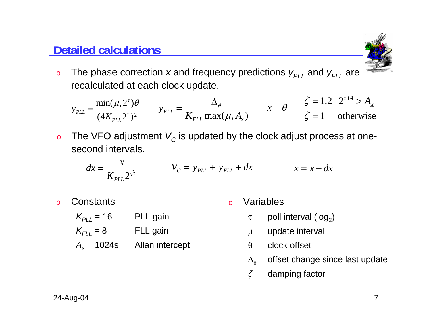#### **Detailed calculations**



o $_{\circ}\;$  The phase correction *x* and frequency predictions  $y_{\rho_{LL}}$  and  $y_{\rho_{LL}}$  are recalculated at each clock update.

$$
y_{PL} = \frac{\min(\mu, 2^{\tau})\theta}{(4K_{PL} 2^{\tau})^2} \qquad y_{FL} = \frac{\Delta_{\theta}}{K_{FL} \max(\mu, A_x)} \qquad x = \theta \qquad \zeta = 1.2 \quad 2^{\tau+4} > A_x
$$
\n
$$
\zeta = 1 \qquad \text{otherwise}
$$

o $\, \circ \,$  The VFO adjustment  $\, V_{C}$  is updated by the clock adjust process at onesecond intervals.

$$
dx = \frac{x}{K_{PL} 2^{\zeta \tau}} \qquad V_C = y_{PL} + y_{FL} + dx \qquad x = x - dx
$$

o**Constants** 

 $K_{PLL}$  = 16

 $K_{FLL} = 8$ 

 $A_x = 1024s$ 

PLL gain

FLL gain

Allan intercept

oVariables

- $\tau$  poll interval (log<sub>2</sub>)
- µ update interval
- θclock offset
- $Δ_θ$ offset change since last update
- *ζ* damping factor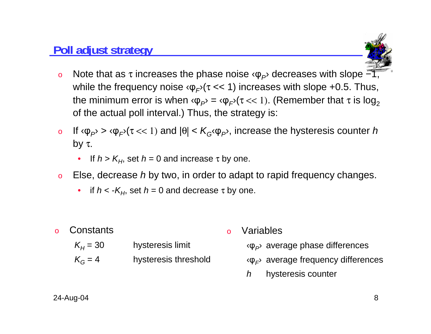#### **Poll adjust strategy**



- oNote that as  $\tau$  increases the phase noise  $\langle \phi_P \rangle$  decreases with slope  $-1$ , while the frequency noise  $\varphi_F$ <sup> $\tau$ </sup> << 1) increases with slope +0.5. Thus, the minimum error is when  $\varphi_P = \varphi_F / (\tau \ll 1)$ . (Remember that  $\tau$  is log<sub>2</sub> of the actual poll interval.) Thus, the strategy is:
- oIf  $\langle \varphi_{P} \rangle$  >  $\langle \varphi_{F} \rangle$  ( $\tau$  << 1) and  $|\theta|$  <  $K_G \langle \varphi_{P} \rangle$ , increase the hysteresis counter *h* by τ.
	- $\bullet$ • If *h* > K<sub>H</sub>, set *h* = 0 and increase τ by one.
- o Else, decrease *h* by two, in order to adapt to rapid frequency changes.
	- $\bullet$ • if  $h <$  - $K_H$ , set  $h = 0$  and decrease τ by one.

| <b>o</b> Constants |                      | <b>o</b> Variables                                          |
|--------------------|----------------------|-------------------------------------------------------------|
| $K_{H}$ = 30       | hysteresis limit     | $\langle \phi_P \rangle$ average phase differences          |
| $K_G = 4$          | hysteresis threshold | $\langle \varphi_{F} \rangle$ average frequency differences |
|                    |                      | hysteresis counter                                          |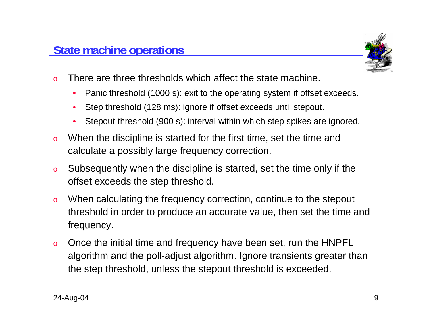

- o There are three thresholds which affect the state machine.
	- $\bullet$ Panic threshold (1000 s): exit to the operating system if offset exceeds.
	- •Step threshold (128 ms): ignore if offset exceeds until stepout.
	- •Stepout threshold (900 s): interval within which step spikes are ignored.
- o When the discipline is started for the first time, set the time and calculate a possibly large frequency correction.
- o Subsequently when the discipline is started, set the time only if the offset exceeds the step threshold.
- o When calculating the frequency correction, continue to the stepout threshold in order to produce an accurate value, then set the time and frequency.
- o Once the initial time and frequency have been set, run the HNPFL algorithm and the poll-adjust algorithm. Ignore transients greater than the step threshold, unless the stepout threshold is exceeded.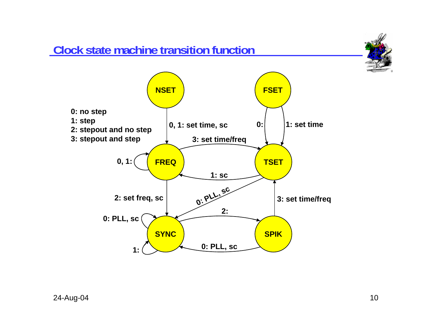## **Clock state machine transition function**



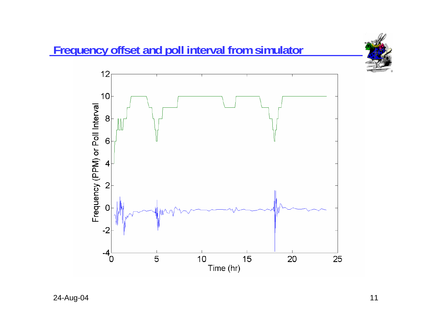

24-Aug-04 11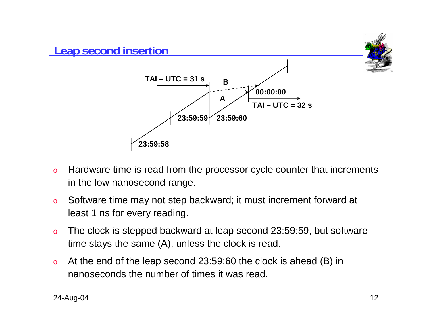

- o Hardware time is read from the processor cycle counter that increments in the low nanosecond range.
- o Software time may not step backward; it must increment forward at least 1 ns for every reading.
- o The clock is stepped backward at leap second 23:59:59, but software time stays the same (A), unless the clock is read.
- o At the end of the leap second 23:59:60 the clock is ahead (B) in nanoseconds the number of times it was read.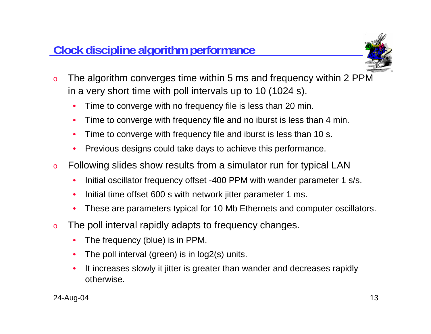

- o The algorithm converges time within 5 ms and frequency within 2 PPM in a very short time with poll intervals up to 10 (1024 s).
	- •Time to converge with no frequency file is less than 20 min.
	- •Time to converge with frequency file and no iburst is less than 4 min.
	- •Time to converge with frequency file and iburst is less than 10 s.
	- •Previous designs could take days to achieve this performance.
- o Following slides show results from a simulator run for typical LAN
	- •Initial oscillator frequency offset -400 PPM with wander parameter 1 s/s.
	- •Initial time offset 600 s with network jitter parameter 1 ms.
	- $\bullet$ These are parameters typical for 10 Mb Ethernets and computer oscillators.
- o The poll interval rapidly adapts to frequency changes.
	- •The frequency (blue) is in PPM.
	- •The poll interval (green) is in log2(s) units.
	- • It increases slowly it jitter is greater than wander and decreases rapidly otherwise.